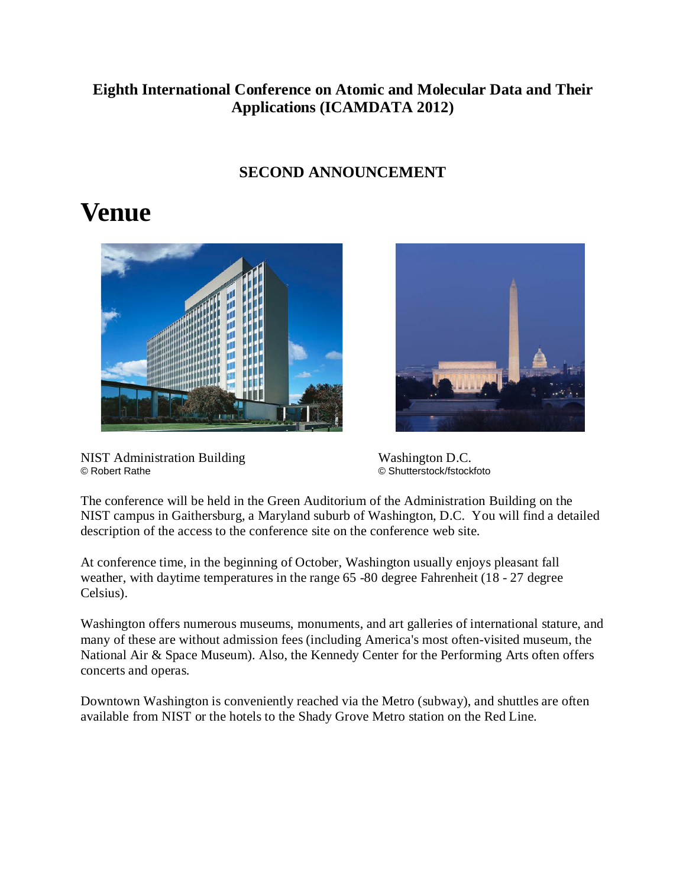### **Eighth International Conference on Atomic and Molecular Data and Their Applications (ICAMDATA 2012)**

### **SECOND ANNOUNCEMENT**

### **Venue**



NIST Administration Building<br>
© Robert Rathe<br>
© Shutterstock/fstock

© Shutterstock/fstockfoto

The conference will be held in the Green Auditorium of the Administration Building on the NIST campus in Gaithersburg, a Maryland suburb of Washington, D.C. You will find a detailed description of the access to the conference site on the conference web site.

At conference time, in the beginning of October, Washington usually enjoys pleasant fall weather, with daytime temperatures in the range 65 -80 degree Fahrenheit (18 - 27 degree Celsius).

Washington offers numerous museums, monuments, and art galleries of international stature, and many of these are without admission fees (including America's most often-visited museum, the National Air & Space Museum). Also, the Kennedy Center for the Performing Arts often offers concerts and operas.

Downtown Washington is conveniently reached via the Metro (subway), and shuttles are often available from NIST or the hotels to the Shady Grove Metro station on the Red Line.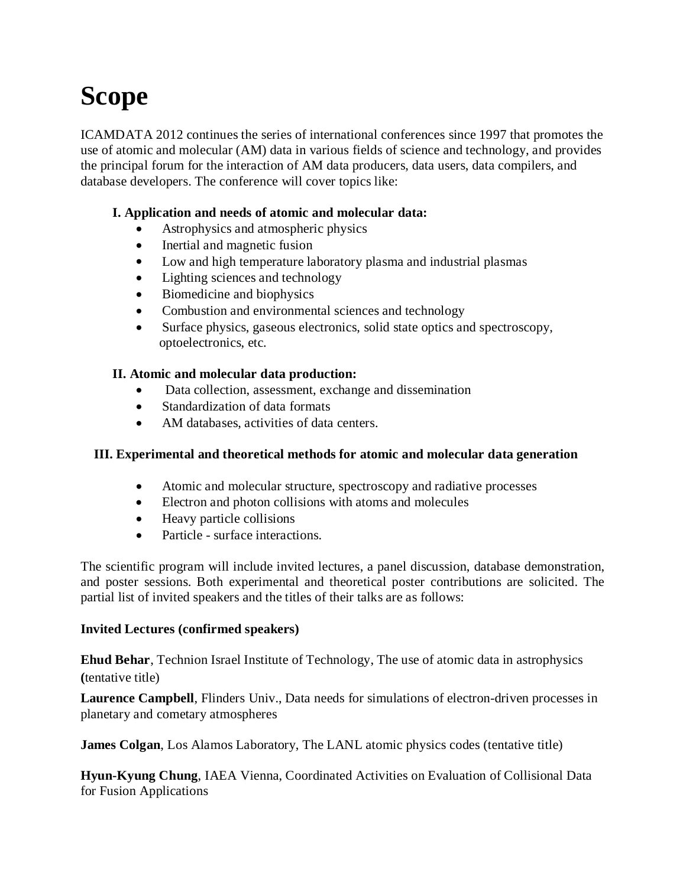# **Scope**

ICAMDATA 2012 continues the series of international conferences since 1997 that promotes the use of atomic and molecular (AM) data in various fields of science and technology, and provides the principal forum for the interaction of AM data producers, data users, data compilers, and database developers. The conference will cover topics like:

#### **I. Application and needs of atomic and molecular data:**

- Astrophysics and atmospheric physics
- Inertial and magnetic fusion
- Low and high temperature laboratory plasma and industrial plasmas
- Lighting sciences and technology
- Biomedicine and biophysics
- Combustion and environmental sciences and technology
- Surface physics, gaseous electronics, solid state optics and spectroscopy, optoelectronics, etc.

#### **II. Atomic and molecular data production:**

- Data collection, assessment, exchange and dissemination
- Standardization of data formats
- AM databases, activities of data centers.

#### **III. Experimental and theoretical methods for atomic and molecular data generation**

- Atomic and molecular structure, spectroscopy and radiative processes
- Electron and photon collisions with atoms and molecules
- Heavy particle collisions
- Particle surface interactions.

The scientific program will include invited lectures, a panel discussion, database demonstration, and poster sessions. Both experimental and theoretical poster contributions are solicited. The partial list of invited speakers and the titles of their talks are as follows:

#### **Invited Lectures (confirmed speakers)**

**Ehud Behar**, Technion Israel Institute of Technology, The use of atomic data in astrophysics **(**tentative title)

**Laurence Campbell**, Flinders Univ., Data needs for simulations of electron-driven processes in planetary and cometary atmospheres

**James Colgan**, Los Alamos Laboratory, The LANL atomic physics codes (tentative title)

**Hyun-Kyung Chung**, IAEA Vienna, Coordinated Activities on Evaluation of Collisional Data for Fusion Applications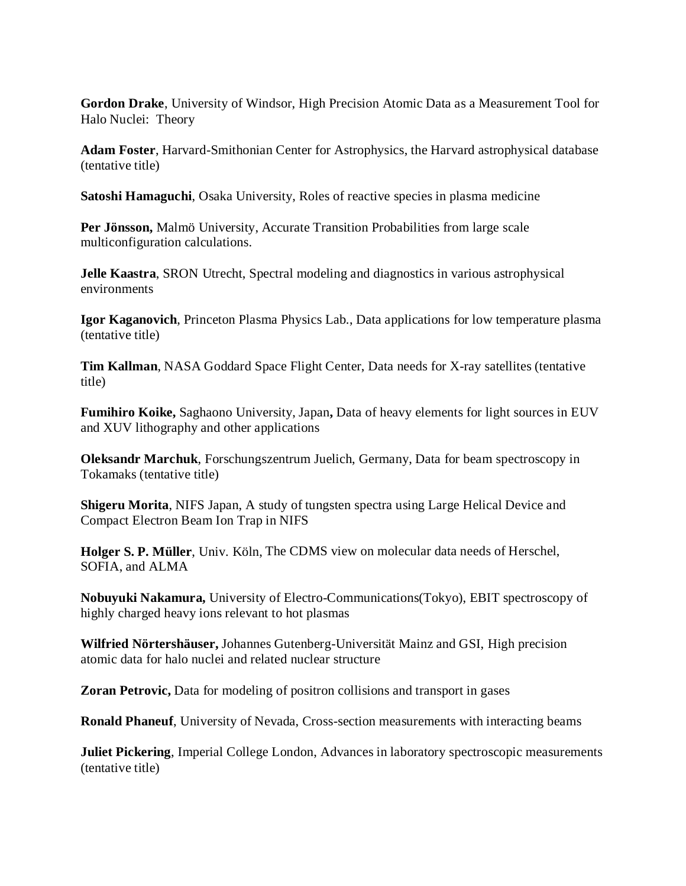**Gordon Drake**, University of Windsor, High Precision Atomic Data as a Measurement Tool for Halo Nuclei: Theory

**Adam Foster**, Harvard-Smithonian Center for Astrophysics, the Harvard astrophysical database (tentative title)

**Satoshi Hamaguchi**, Osaka University, Roles of reactive species in plasma medicine

**Per Jönsson,** Malmö University, Accurate Transition Probabilities from large scale multiconfiguration calculations.

**Jelle Kaastra**, SRON Utrecht, Spectral modeling and diagnostics in various astrophysical environments

**Igor Kaganovich**, Princeton Plasma Physics Lab., Data applications for low temperature plasma (tentative title)

**Tim Kallman**, NASA Goddard Space Flight Center, Data needs for X-ray satellites (tentative title)

**Fumihiro Koike,** Saghaono University, Japan**,** Data of heavy elements for light sources in EUV and XUV lithography and other applications

**Oleksandr Marchuk**, Forschungszentrum Juelich, Germany, Data for beam spectroscopy in Tokamaks (tentative title)

**Shigeru Morita**, NIFS Japan, A study of tungsten spectra using Large Helical Device and Compact Electron Beam Ion Trap in NIFS

**Holger S. P. Müller**, Univ. Köln, The CDMS view on molecular data needs of Herschel, SOFIA, and ALMA

**Nobuyuki Nakamura,** University of Electro-Communications(Tokyo), EBIT spectroscopy of highly charged heavy ions relevant to hot plasmas

**Wilfried Nörtershäuser,** Johannes Gutenberg-Universität Mainz and GSI, High precision atomic data for halo nuclei and related nuclear structure

**Zoran Petrovic,** Data for modeling of positron collisions and transport in gases

**Ronald Phaneuf**, University of Nevada, Cross-section measurements with interacting beams

**Juliet Pickering**, Imperial College London, Advances in laboratory spectroscopic measurements (tentative title)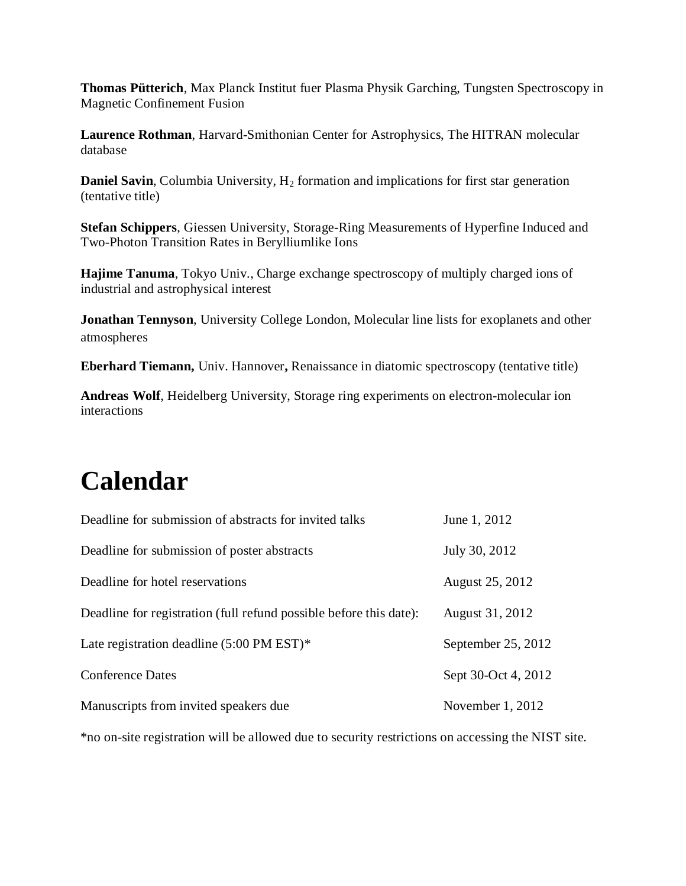**Thomas Pütterich**, Max Planck Institut fuer Plasma Physik Garching, Tungsten Spectroscopy in Magnetic Confinement Fusion

**Laurence Rothman**, Harvard-Smithonian Center for Astrophysics, The HITRAN molecular database

**Daniel Savin, Columbia University, H<sub>2</sub> formation and implications for first star generation** (tentative title)

**Stefan Schippers**, Giessen University, Storage-Ring Measurements of Hyperfine Induced and Two-Photon Transition Rates in Berylliumlike Ions

**Hajime Tanuma**, Tokyo Univ., Charge exchange spectroscopy of multiply charged ions of industrial and astrophysical interest

**Jonathan Tennyson**, University College London, Molecular line lists for exoplanets and other atmospheres

**Eberhard Tiemann,** Univ. Hannover**,** Renaissance in diatomic spectroscopy (tentative title)

**Andreas Wolf**, Heidelberg University, Storage ring experiments on electron-molecular ion interactions

### **Calendar**

| Deadline for submission of abstracts for invited talks             | June 1, 2012        |
|--------------------------------------------------------------------|---------------------|
| Deadline for submission of poster abstracts                        | July 30, 2012       |
| Deadline for hotel reservations                                    | August 25, 2012     |
| Deadline for registration (full refund possible before this date): | August 31, 2012     |
| Late registration deadline $(5:00 \text{ PM EST})^*$               | September 25, 2012  |
| <b>Conference Dates</b>                                            | Sept 30-Oct 4, 2012 |
| Manuscripts from invited speakers due                              | November $1, 2012$  |

\*no on-site registration will be allowed due to security restrictions on accessing the NIST site.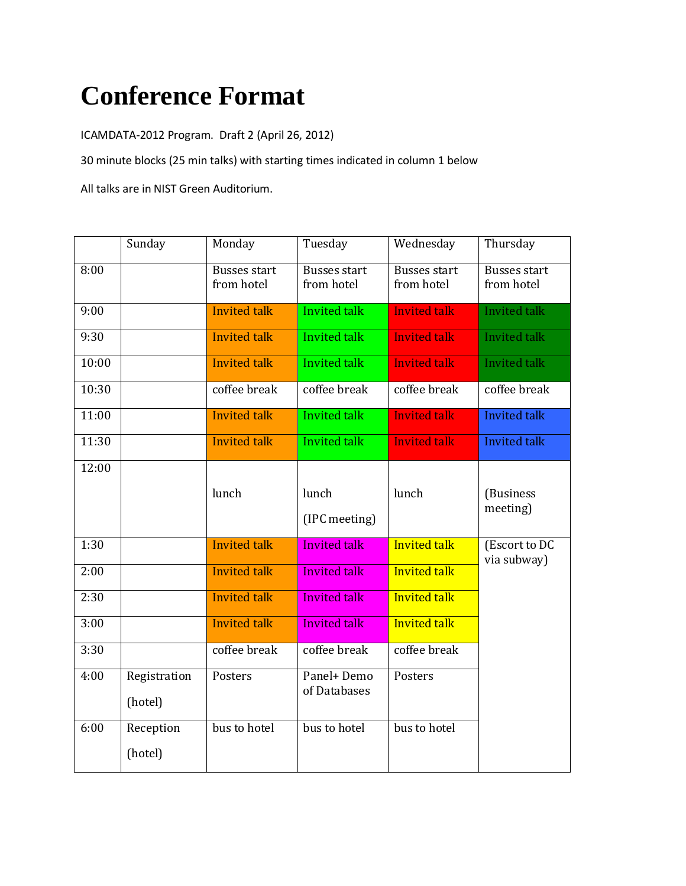## **Conference Format**

ICAMDATA-2012 Program. Draft 2 (April 26, 2012)

30 minute blocks (25 min talks) with starting times indicated in column 1 below

All talks are in NIST Green Auditorium.

|       | Sunday                  | Monday                            | Tuesday                           | Wednesday                         | Thursday                          |
|-------|-------------------------|-----------------------------------|-----------------------------------|-----------------------------------|-----------------------------------|
| 8:00  |                         | <b>Busses start</b><br>from hotel | <b>Busses start</b><br>from hotel | <b>Busses start</b><br>from hotel | <b>Busses start</b><br>from hotel |
| 9:00  |                         | <b>Invited talk</b>               | <b>Invited talk</b>               | <b>Invited talk</b>               | <b>Invited talk</b>               |
| 9:30  |                         | <b>Invited talk</b>               | <b>Invited talk</b>               | <b>Invited talk</b>               | <b>Invited talk</b>               |
| 10:00 |                         | <b>Invited talk</b>               | Invited talk                      | <b>Invited talk</b>               | <b>Invited talk</b>               |
| 10:30 |                         | coffee break                      | coffee break                      | coffee break                      | coffee break                      |
| 11:00 |                         | <b>Invited talk</b>               | <b>Invited talk</b>               | <b>Invited talk</b>               | <b>Invited talk</b>               |
| 11:30 |                         | <b>Invited talk</b>               | <b>Invited talk</b>               | <b>Invited talk</b>               | <b>Invited talk</b>               |
| 12:00 |                         | lunch                             | lunch<br>(IPC meeting)            | lunch                             | (Business<br>meeting)             |
| 1:30  |                         | <b>Invited talk</b>               | <b>Invited talk</b>               | <b>Invited talk</b>               | (Escort to DC<br>via subway)      |
| 2:00  |                         | <b>Invited talk</b>               | <b>Invited talk</b>               | <b>Invited talk</b>               |                                   |
| 2:30  |                         | <b>Invited talk</b>               | <b>Invited talk</b>               | <b>Invited talk</b>               |                                   |
| 3:00  |                         | <b>Invited talk</b>               | <b>Invited talk</b>               | <b>Invited talk</b>               |                                   |
| 3:30  |                         | coffee break                      | coffee break                      | coffee break                      |                                   |
| 4:00  | Registration<br>(hotel) | Posters                           | Panel+Demo<br>of Databases        | Posters                           |                                   |
| 6:00  | Reception<br>(hotel)    | bus to hotel                      | bus to hotel                      | bus to hotel                      |                                   |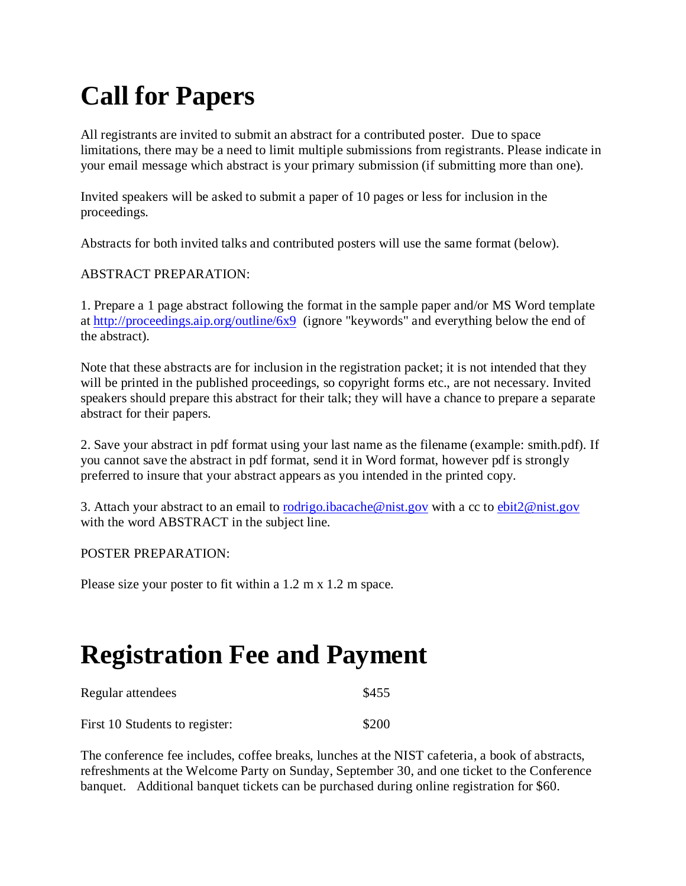## **Call for Papers**

All registrants are invited to submit an abstract for a contributed poster. Due to space limitations, there may be a need to limit multiple submissions from registrants. Please indicate in your email message which abstract is your primary submission (if submitting more than one).

Invited speakers will be asked to submit a paper of 10 pages or less for inclusion in the proceedings.

Abstracts for both invited talks and contributed posters will use the same format (below).

#### ABSTRACT PREPARATION:

1. Prepare a 1 page abstract following the format in the sample paper and/or MS Word template at <http://proceedings.aip.org/outline/6x9> (ignore "keywords" and everything below the end of the abstract).

Note that these abstracts are for inclusion in the registration packet; it is not intended that they will be printed in the published proceedings, so copyright forms etc., are not necessary. Invited speakers should prepare this abstract for their talk; they will have a chance to prepare a separate abstract for their papers.

2. Save your abstract in pdf format using your last name as the filename (example: smith.pdf). If you cannot save the abstract in pdf format, send it in Word format, however pdf is strongly preferred to insure that your abstract appears as you intended in the printed copy.

3. Attach your abstract to an email to rodrigo.jbacache@nist.gov with a cc to [ebit2@nist.gov](mailto:ebit2@nist.gov) with the word ABSTRACT in the subject line.

#### POSTER PREPARATION:

Please size your poster to fit within a 1.2 m x 1.2 m space.

### **Registration Fee and Payment**

| Regular attendees              | \$455 |
|--------------------------------|-------|
| First 10 Students to register: | \$200 |

The conference fee includes, coffee breaks, lunches at the NIST cafeteria, a book of abstracts, refreshments at the Welcome Party on Sunday, September 30, and one ticket to the Conference banquet. Additional banquet tickets can be purchased during online registration for \$60.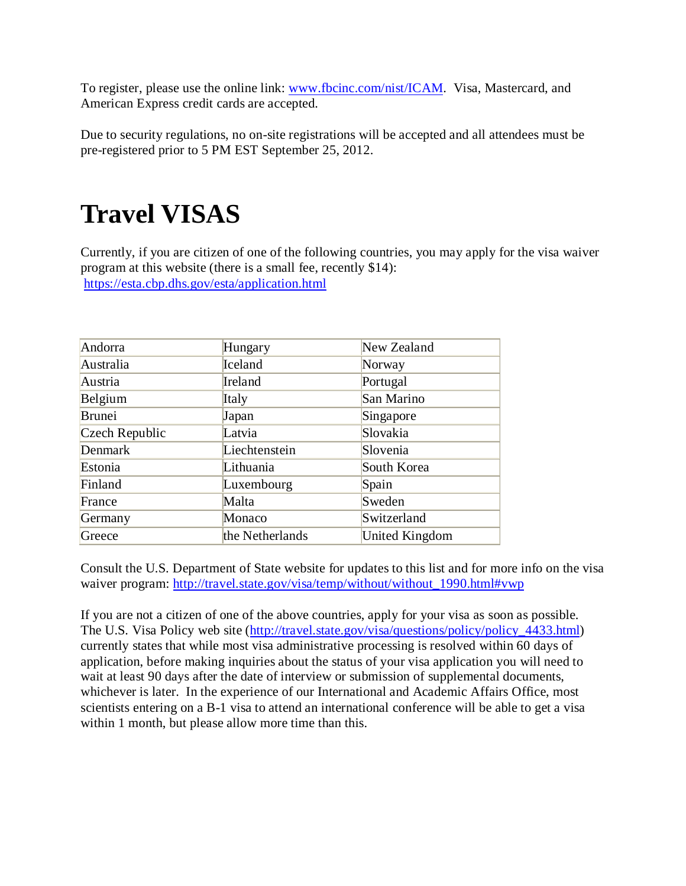To register, please use the online link: [www.fbcinc.com/nist/ICAM.](http://www.fbcinc.com/nist/ICAM) Visa, Mastercard, and American Express credit cards are accepted.

Due to security regulations, no on-site registrations will be accepted and all attendees must be pre-registered prior to 5 PM EST September 25, 2012.

### **Travel VISAS**

Currently, if you are citizen of one of the following countries, you may apply for the visa waiver program at this website (there is a small fee, recently \$14): <https://esta.cbp.dhs.gov/esta/application.html>

| Andorra        | Hungary         | New Zealand    |
|----------------|-----------------|----------------|
| Australia      | Iceland         | Norway         |
| Austria        | Ireland         | Portugal       |
| Belgium        | Italy           | San Marino     |
| Brunei         | Japan           | Singapore      |
| Czech Republic | Latvia          | Slovakia       |
| Denmark        | Liechtenstein   | Slovenia       |
| Estonia        | Lithuania       | South Korea    |
| Finland        | Luxembourg      | Spain          |
| France         | Malta           | Sweden         |
| Germany        | Monaco          | Switzerland    |
| Greece         | the Netherlands | United Kingdom |

Consult the U.S. Department of State website for updates to this list and for more info on the visa waiver program: [http://travel.state.gov/visa/temp/without/without\\_1990.html#vwp](http://travel.state.gov/visa/temp/without/without_1990.html#vwp)

If you are not a citizen of one of the above countries, apply for your visa as soon as possible. The U.S. Visa Policy web site [\(http://travel.state.gov/visa/questions/policy/policy\\_4433.html\)](http://travel.state.gov/visa/questions/policy/policy_4433.html) currently states that while most visa administrative processing is resolved within 60 days of application, before making inquiries about the status of your visa application you will need to wait at least 90 days after the date of interview or submission of supplemental documents, whichever is later. In the experience of our International and Academic Affairs Office, most scientists entering on a B-1 visa to attend an international conference will be able to get a visa within 1 month, but please allow more time than this.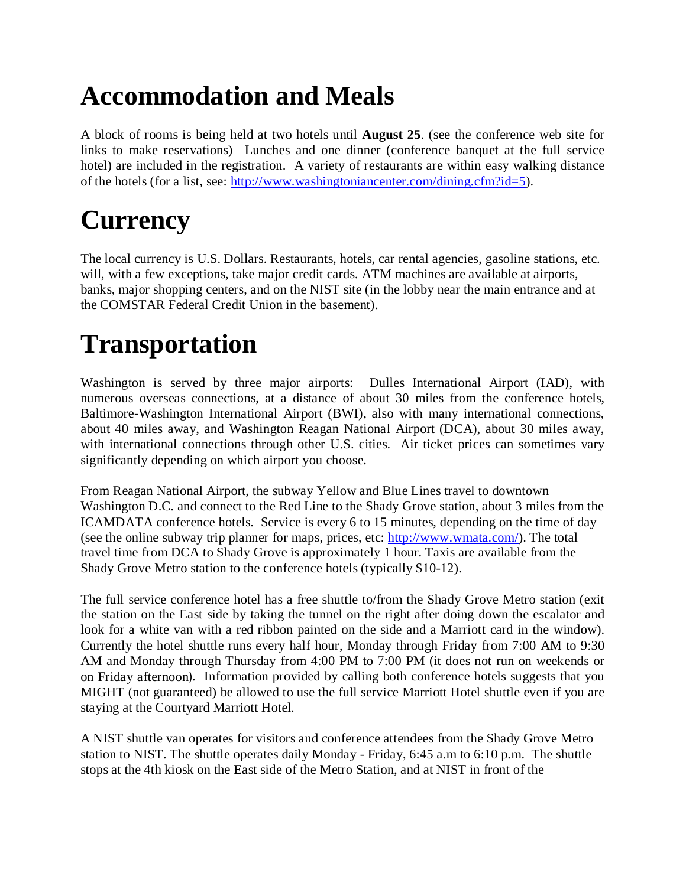## **Accommodation and Meals**

A block of rooms is being held at two hotels until **August 25**. (see the conference web site for links to make reservations) Lunches and one dinner (conference banquet at the full service hotel) are included in the registration. A variety of restaurants are within easy walking distance of the hotels (for a list, see: [http://www.washingtoniancenter.com/dining.cfm?id=5\)](http://www.washingtoniancenter.com/dining.cfm?id=5).

# **Currency**

The local currency is U.S. Dollars. Restaurants, hotels, car rental agencies, gasoline stations, etc. will, with a few exceptions, take major credit cards. ATM machines are available at airports, banks, major shopping centers, and on the NIST site (in the lobby near the main entrance and at the COMSTAR Federal Credit Union in the basement).

## **Transportation**

Washington is served by three major airports: Dulles International Airport (IAD), with numerous overseas connections, at a distance of about 30 miles from the conference hotels, Baltimore-Washington International Airport (BWI), also with many international connections, about 40 miles away, and Washington Reagan National Airport (DCA), about 30 miles away, with international connections through other U.S. cities. Air ticket prices can sometimes vary significantly depending on which airport you choose.

From Reagan National Airport, the subway Yellow and Blue Lines travel to downtown Washington D.C. and connect to the Red Line to the Shady Grove station, about 3 miles from the ICAMDATA conference hotels. Service is every 6 to 15 minutes, depending on the time of day (see the online subway trip planner for maps, prices, etc: [http://www.wmata.com/\)](http://www.wmata.com/). The total travel time from DCA to Shady Grove is approximately 1 hour. Taxis are available from the Shady Grove Metro station to the conference hotels (typically \$10-12).

The full service conference hotel has a free shuttle to/from the Shady Grove Metro station (exit the station on the East side by taking the tunnel on the right after doing down the escalator and look for a white van with a red ribbon painted on the side and a Marriott card in the window). Currently the hotel shuttle runs every half hour, Monday through Friday from 7:00 AM to 9:30 AM and Monday through Thursday from 4:00 PM to 7:00 PM (it does not run on weekends or on Friday afternoon). Information provided by calling both conference hotels suggests that you MIGHT (not guaranteed) be allowed to use the full service Marriott Hotel shuttle even if you are staying at the Courtyard Marriott Hotel.

A NIST shuttle van operates for visitors and conference attendees from the Shady Grove Metro station to NIST. The shuttle operates daily Monday - Friday, 6:45 a.m to 6:10 p.m. The shuttle stops at the 4th kiosk on the East side of the Metro Station, and at NIST in front of the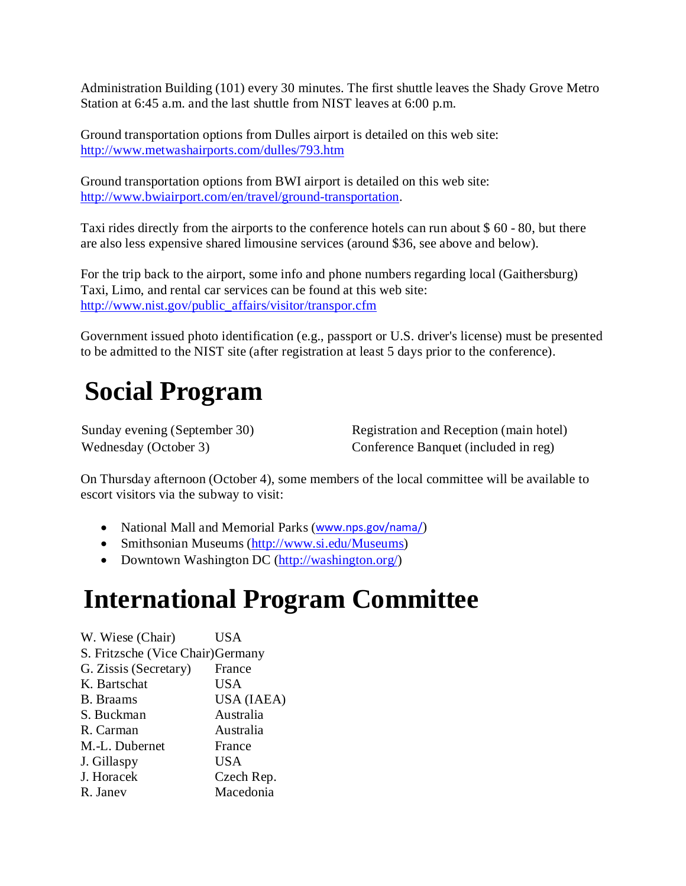Administration Building (101) every 30 minutes. The first shuttle leaves the Shady Grove Metro Station at 6:45 a.m. and the last shuttle from NIST leaves at 6:00 p.m.

Ground transportation options from Dulles airport is detailed on this web site: <http://www.metwashairports.com/dulles/793.htm>

Ground transportation options from BWI airport is detailed on this web site: [http://www.bwiairport.com/en/travel/ground-transportation.](http://www.bwiairport.com/en/travel/ground-transportation)

Taxi rides directly from the airports to the conference hotels can run about \$ 60 - 80, but there are also less expensive shared limousine services (around \$36, see above and below).

For the trip back to the airport, some info and phone numbers regarding local (Gaithersburg) Taxi, Limo, and rental car services can be found at this web site: [http://www.nist.gov/public\\_affairs/visitor/transpor.cfm](http://www.nist.gov/public_affairs/visitor/transpor.cfm)

Government issued photo identification (e.g., passport or U.S. driver's license) must be presented to be admitted to the NIST site (after registration at least 5 days prior to the conference).

### **Social Program**

Sunday evening (September 30) Registration and Reception (main hotel) Wednesday (October 3) Conference Banquet (included in reg)

On Thursday afternoon (October 4), some members of the local committee will be available to escort visitors via the subway to visit:

- National Mall and Memorial Parks ([www.nps.gov/nama/](http://www.nps.gov/nama/))
- Smithsonian Museums [\(http://www.si.edu/Museums\)](http://www.si.edu/Museums)
- Downtown Washington DC [\(http://washington.org/\)](http://washington.org/)

### **International Program Committee**

W. Wiese (Chair) USA S. Fritzsche (Vice Chair)Germany G. Zissis (Secretary) France K. Bartschat USA B. Braams USA (IAEA) S. Buckman Australia R. Carman Australia M.-L. Dubernet France J. Gillaspy USA J. Horacek Czech Rep. R. Janev Macedonia